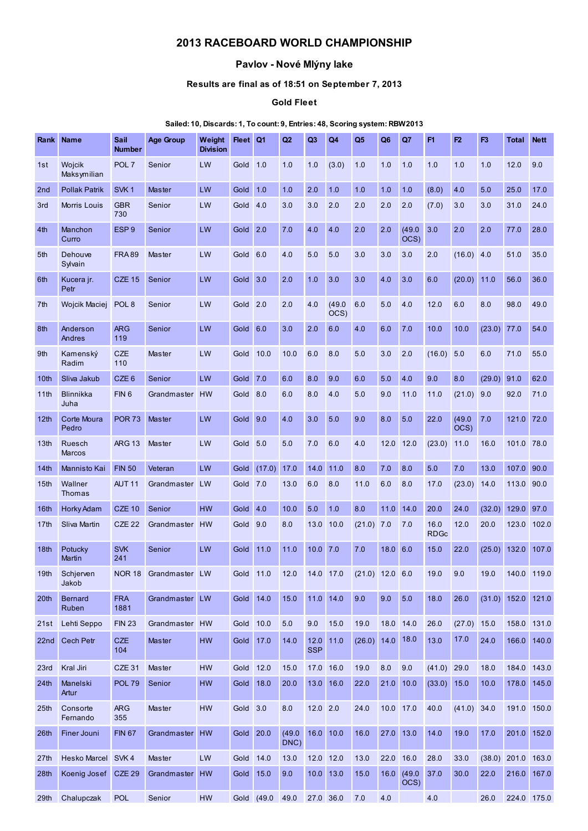# 2013 RACEBOARD WORLD CHAMPIONSHIP

## Pavlov - Nové Mlýny lake

## Results are final as of 18:51 on September 7, 2013

#### Gold Fleet

### Sailed: 10, Discards: 1, To count: 9, Entries: 48, Scoring system: RBW2013

| Rank             | <b>Name</b>              | Sail<br><b>Number</b> | <b>Age Group</b> | Weight<br><b>Division</b> | Fleet Q1            |            | Q2             | Q <sub>3</sub>       | Q4             | Q <sub>5</sub>     | Q <sub>6</sub> | Q7                 | F1                  | F2             | F <sub>3</sub> | Total          | <b>Nett</b> |
|------------------|--------------------------|-----------------------|------------------|---------------------------|---------------------|------------|----------------|----------------------|----------------|--------------------|----------------|--------------------|---------------------|----------------|----------------|----------------|-------------|
| 1st              | Wojcik<br>Maksymilian    | POL <sub>7</sub>      | Senior           | LW                        | Gold                | 1.0        | 1.0            | 1.0                  | (3.0)          | 1.0                | 1.0            | 1.0                | 1.0                 | 1.0            | 1.0            | 12.0           | 9.0         |
| 2nd              | <b>Pollak Patrik</b>     | SVK <sub>1</sub>      | Master           | LW                        | Gold                | 1.0        | 1.0            | 2.0                  | 1.0            | 1.0                | 1.0            | 1.0                | (8.0)               | 4.0            | 5.0            | 25.0           | 17.0        |
| 3rd              | Morris Louis             | <b>GBR</b><br>730     | Senior           | LW                        | Gold 4.0            |            | 3.0            | 3.0                  | 2.0            | 2.0                | 2.0            | 2.0                | (7.0)               | 3.0            | 3.0            | 31.0           | 24.0        |
| 4th              | Manchon<br>Curro         | ESP <sub>9</sub>      | Senior           | LW                        | Gold 2.0            |            | 7.0            | 4.0                  | 4.0            | 2.0                | 2.0            | (49.0)<br>OCS)     | 3.0                 | 2.0            | 2.0            | 77.0           | 28.0        |
| 5th              | Dehouve<br>Sylvain       | <b>FRA89</b>          | <b>Master</b>    | LW                        | Gold 6.0            |            | 4.0            | 5.0                  | 5.0            | 3.0                | 3.0            | 3.0                | 2.0                 | (16.0)         | 4.0            | 51.0           | 35.0        |
| 6th              | Kucera jr.<br>Petr       | <b>CZE 15</b>         | Senior           | LW                        | Gold <sub>3.0</sub> |            | 2.0            | 1.0                  | 3.0            | 3.0                | 4.0            | 3.0                | 6.0                 | (20.0)         | 11.0           | 56.0           | 36.0        |
| 7th              | Wojcik Maciej            | POL <sub>8</sub>      | Senior           | LW                        | Gold                | 2.0        | 2.0            | 4.0                  | (49.0)<br>OCS) | 6.0                | 5.0            | 4.0                | 12.0                | 6.0            | 8.0            | 98.0           | 49.0        |
| 8th              | Anderson<br>Andres       | <b>ARG</b><br>119     | Senior           | LW                        | Gold 6.0            |            | 3.0            | 2.0                  | 6.0            | 4.0                | 6.0            | 7.0                | 10.0                | 10.0           | (23.0)         | 77.0           | 54.0        |
| 9th              | Kamenský<br>Radim        | <b>CZE</b><br>110     | Master           | LW                        | Gold                | 10.0       | 10.0           | 6.0                  | 8.0            | 5.0                | 3.0            | 2.0                | (16.0)              | 5.0            | 6.0            | 71.0           | 55.0        |
| 10th             | Sliva Jakub              | CZE <sub>6</sub>      | Senior           | LW                        | Gold 7.0            |            | 6.0            | 8.0                  | 9.0            | 6.0                | 5.0            | 4.0                | 9.0                 | 8.0            | (29.0)         | 91.0           | 62.0        |
| 11th             | <b>Blinnikka</b><br>Juha | FIN <sub>6</sub>      | Grandmaster      | <b>HW</b>                 | Gold 8.0            |            | 6.0            | 8.0                  | 4.0            | 5.0                | 9.0            | 11.0               | 11.0                | (21.0)         | 9.0            | 92.0           | 71.0        |
| 12 <sub>th</sub> | Corte Moura<br>Pedro     | <b>POR 73</b>         | Master           | LW                        | Gold 9.0            |            | 4.0            | 3.0                  | 5.0            | 9.0                | 8.0            | 5.0                | 22.0                | (49.0)<br>OCS) | 7.0            | 121.0          | 72.0        |
| 13 <sub>th</sub> | Ruesch<br><b>Marcos</b>  | <b>ARG 13</b>         | Master           | LW                        | Gold 5.0            |            | 5.0            | 7.0                  | 6.0            | 4.0                | 12.0           | 12.0               | (23.0)              | 11.0           | 16.0           | 101.0 78.0     |             |
| 14th             | Mannisto Kai             | <b>FIN 50</b>         | Veteran          | LW                        | Gold                | (17.0)     | 17.0           | 14.0                 | 11.0           | 8.0                | 7.0            | 8.0                | 5.0                 | 7.0            | 13.0           | 107.0          | 90.0        |
| 15 <sub>th</sub> | Wallner<br><b>Thomas</b> | AUT <sub>11</sub>     | Grandmaster      | <b>LW</b>                 | Gold                | 7.0        | 13.0           | 6.0                  | 8.0            | 11.0               | 6.0            | 8.0                | 17.0                | (23.0)         | 14.0           | 113.0          | 90.0        |
| 16th             | Horky Adam               | <b>CZE 10</b>         | Senior           | <b>HW</b>                 | Gold 4.0            |            | 10.0           | 5.0                  | 1.0            | 8.0                | 11.0           | 14.0               | 20.0                | 24.0           | (32.0)         | 129.0          | 97.0        |
| 17 <sub>th</sub> | Sliva Martin             | <b>CZE 22</b>         | Grandmaster      | <b>HW</b>                 | Gold                | 9.0        | 8.0            | 13.0                 | 10.0           | (21.0)             | 7.0            | 7.0                | 16.0<br><b>RDGc</b> | 12.0           | 20.0           | 123.0          | 102.0       |
| 18 <sub>th</sub> | Potucky<br>Martin        | <b>SVK</b><br>241     | Senior           | LW                        | Gold                | 11.0       | 11.0           | 10.0                 | 7.0            | 7.0                | 18.0 6.0       |                    | 15.0                | 22.0           | (25.0)         | 132.0          | 107.0       |
| 19 <sub>th</sub> | Schierven<br>Jakob       | <b>NOR 18</b>         | Grandmaster LW   |                           | Gold                | 11.0       | 12.0           | 14.0                 | 17.0           | $(21.0)$ 12.0      |                | 6.0                | 19.0                | 9.0            | 19.0           | 140.0 119.0    |             |
| 20 <sup>th</sup> | <b>Bernard</b><br>Ruben  | <b>FRA</b><br>1881    | Grandmaster LW   |                           | Gold 14.0           |            | 15.0           |                      | 11.0 14.0      | 9.0                | 9.0            | 5.0                | 18.0                | 26.0           |                | (31.0) 152.0   | 121.0       |
| 21st             | Lehti Seppo              | <b>FIN 23</b>         | Grandmaster HW   |                           | Gold                | 10.0       | 5.0            | 9.0                  | 15.0           | 19.0               |                | 18.0 14.0          | 26.0                | (27.0)         | 15.0           | 158.0 131.0    |             |
| 22nd             | <b>Cech Petr</b>         | <b>CZE</b><br>104     | Master           | <b>HW</b>                 | Gold 17.0           |            | 14.0           | $12.0$<br><b>SSP</b> | 11.0           | $(26.0)$ 14.0 18.0 |                |                    | 13.0                | 17.0           | 24.0           | 166.0          | 140.0       |
| 23rd             | Kral Jiri                | <b>CZE 31</b>         | Master           | <b>HW</b>                 | Gold 12.0           |            | 15.0           | 17.0 16.0            |                | 19.0               | 8.0            | 9.0                | $(41.0)$ 29.0       |                | 18.0           | 184.0          | 143.0       |
| 24 <sub>th</sub> | Manelski<br>Artur        | <b>POL 79</b>         | Senior           | <b>HW</b>                 | Gold 18.0           |            | 20.0           |                      | 13.0 16.0      | 22.0               | 21.0 10.0      |                    | (33.0) 15.0         |                | 10.0           | 178.0          | 145.0       |
| 25th             | Consorte<br>Fernando     | <b>ARG</b><br>355     | Master           | <b>HW</b>                 | Gold 3.0            |            | 8.0            | $12.0$ 2.0           |                | 24.0               |                | 10.0 17.0          | 40.0                | $(41.0)$ 34.0  |                | 191.0 150.0    |             |
| 26 <sup>th</sup> | Finer Jouni              | <b>FIN 67</b>         | Grandmaster      | <b>HW</b>                 | Gold 20.0           |            | (49.0)<br>DNC) |                      | 16.0 10.0      | 16.0               | 27.0 13.0      |                    | 14.0                | 19.0           | 17.0           | 201.0 152.0    |             |
| 27 <sub>th</sub> | Hesko Marcel             | SVK4                  | Master           | LW                        | Gold 14.0           |            | 13.0           | 12.0                 | 12.0           | 13.0               | 22.0           | 16.0               | 28.0                | 33.0           |                | $(38.0)$ 201.0 | 163.0       |
| 28 <sub>th</sub> | Koenig Josef             | <b>CZE 29</b>         | Grandmaster      | <b>HW</b>                 | Gold 15.0           |            | 9.0            |                      | 10.0 13.0      | 15.0               |                | 16.0 (49.0<br>OCS) | 37.0                | 30.0           | 22.0           | 216.0          | 167.0       |
| 29 <sub>th</sub> | Chalupczak               | <b>POL</b>            | Senior           | <b>HW</b>                 |                     | Gold (49.0 | 49.0           | 27.0 36.0            |                | 7.0                | 4.0            |                    | 4.0                 |                | 26.0           | 224.0 175.0    |             |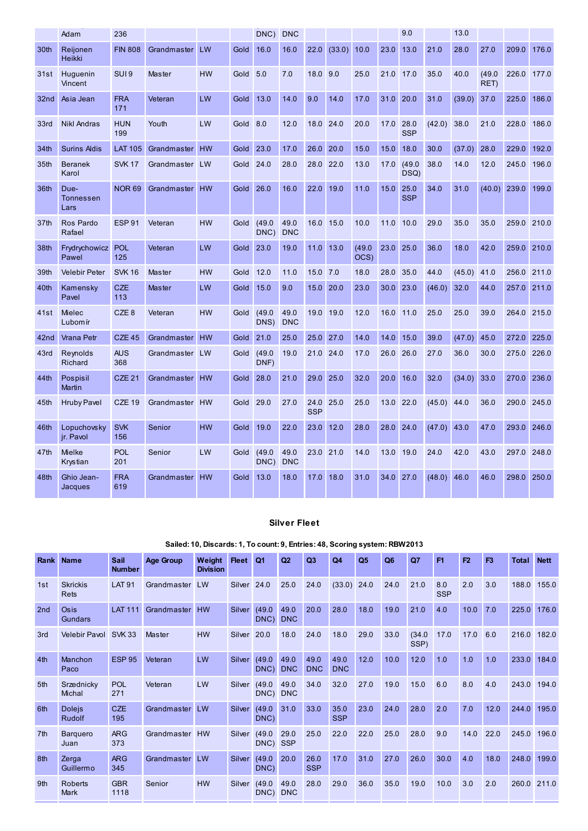|                  | Adam                      | 236               |                |           |          | DNC)           | <b>DNC</b>         |                    |             |                |           | 9.0                |        | 13.0   |                |                |       |
|------------------|---------------------------|-------------------|----------------|-----------|----------|----------------|--------------------|--------------------|-------------|----------------|-----------|--------------------|--------|--------|----------------|----------------|-------|
| 30th             | Reijonen<br><b>Heikki</b> | <b>FIN 808</b>    | Grandmaster    | LW        | Gold     | 16.0           | 16.0               | 22.0               | (33.0)      | 10.0           | 23.0      | 13.0               | 21.0   | 28.0   | 27.0           | 209.0          | 176.0 |
| 31st             | Huguenin<br>Vincent       | SUI <sub>9</sub>  | Master         | <b>HW</b> | Gold     | 5.0            | 7.0                | 18.0               | 9.0         | 25.0           | 21.0      | 17.0               | 35.0   | 40.0   | (49.0)<br>RET) | 226.0          | 177.0 |
| 32nd             | Asia Jean                 | <b>FRA</b><br>171 | Veteran        | LW        | Gold     | 13.0           | 14.0               | 9.0                | 14.0        | 17.0           | 31.0 20.0 |                    | 31.0   | (39.0) | 37.0           | 225.0          | 186.0 |
| 33rd             | <b>Nikl Andras</b>        | <b>HUN</b><br>199 | Youth          | LW        | Gold 8.0 |                | 12.0               | 18.0               | 24.0        | 20.0           | 17.0 28.0 | <b>SSP</b>         | (42.0) | 38.0   | 21.0           | 228.0          | 186.0 |
| 34th             | <b>Surins Aldis</b>       | <b>LAT 105</b>    | Grandmaster    | <b>HW</b> | Gold     | 23.0           | 17.0               | 26.0               | 20.0        | 15.0           | 15.0      | 18.0               | 30.0   | (37.0) | 28.0           | 229.0          | 192.0 |
| 35th             | <b>Beranek</b><br>Karol   | <b>SVK 17</b>     | Grandmaster LW |           | Gold     | 24.0           | 28.0               | 28.0               | 22.0        | 13.0           | 17.0      | (49.0)<br>DSQ)     | 38.0   | 14.0   | 12.0           | 245.0          | 196.0 |
| 36th             | Due-<br>Tonnessen<br>Lars | <b>NOR 69</b>     | Grandmaster    | <b>HW</b> | Gold     | 26.0           | 16.0               | 22.0               | 19.0        | 11.0           | 15.0      | 25.0<br><b>SSP</b> | 34.0   | 31.0   |                | $(40.0)$ 239.0 | 199.0 |
| 37 <sub>th</sub> | Ros Pardo<br>Rafael       | <b>ESP 91</b>     | Veteran        | <b>HW</b> | Gold     | (49.0)<br>DNC) | 49.0<br><b>DNC</b> | 16.0               | 15.0        | 10.0           | 11.0      | 10.0               | 29.0   | 35.0   | 35.0           | 259.0          | 210.0 |
| 38th             | Frydrychowicz<br>Pawel    | <b>POL</b><br>125 | Veteran        | LW        | Gold     | 23.0           | 19.0               |                    | $11.0$ 13.0 | (49.0)<br>OCS) | 23.0      | 25.0               | 36.0   | 18.0   | 42.0           | 259.0          | 210.0 |
| 39th             | <b>Velebir Peter</b>      | <b>SVK 16</b>     | <b>Master</b>  | <b>HW</b> | Gold     | 12.0           | 11.0               | 15.0               | 7.0         | 18.0           | 28.0      | 35.0               | 44.0   | (45.0) | 41.0           | 256.0          | 211.0 |
| 40th             | Kamensky<br>Pavel         | <b>CZE</b><br>113 | Master         | LW        | Gold     | 15.0           | 9.0                | 15.0               | 20.0        | 23.0           | 30.0      | 23.0               | (46.0) | 32.0   | 44.0           | 257.0          | 211.0 |
| 41st             | Mielec<br>Lubom ír        | CZE <sub>8</sub>  | Veteran        | <b>HW</b> | Gold     | (49.0)<br>DNS) | 49.0<br><b>DNC</b> | 19.0               | 19.0        | 12.0           | 16.0      | 11.0               | 25.0   | 25.0   | 39.0           | 264.0          | 215.0 |
| 42nd             | Vrana Petr                | <b>CZE 45</b>     | Grandmaster    | <b>HW</b> | Gold     | 21.0           | 25.0               | 25.0               | 27.0        | 14.0           | 14.0      | 15.0               | 39.0   | (47.0) | 45.0           | 272.0          | 225.0 |
| 43rd             | Reynolds<br>Richard       | <b>AUS</b><br>368 | Grandmaster LW |           | Gold     | (49.0)<br>DNF) | 19.0               | 21.0               | 24.0        | 17.0           | 26.0      | 26.0               | 27.0   | 36.0   | 30.0           | 275.0          | 226.0 |
| 44th             | Pospisil<br><b>Martin</b> | CZE <sub>21</sub> | Grandmaster HW |           | Gold     | 28.0           | 21.0               | 29.0               | 25.0        | 32.0           | 20.0      | 16.0               | 32.0   | (34.0) | 33.0           | 270.0          | 236.0 |
| 45th             | <b>Hruby Pavel</b>        | <b>CZE 19</b>     | Grandmaster HW |           | Gold     | 29.0           | 27.0               | 24.0<br><b>SSP</b> | 25.0        | 25.0           | 13.0      | 22.0               | (45.0) | 44.0   | 36.0           | 290.0          | 245.0 |
| 46th             | Lopuchovsky<br>jr. Pavol  | <b>SVK</b><br>156 | Senior         | <b>HW</b> | Gold     | 19.0           | 22.0               | 23.0               | 12.0        | 28.0           | 28.0 24.0 |                    | (47.0) | 43.0   | 47.0           | 293.0          | 246.0 |
| 47th             | Mielke<br>Krystian        | <b>POL</b><br>201 | Senior         | LW        | Gold     | (49.0)<br>DNC) | 49.0<br><b>DNC</b> | 23.0               | 21.0        | 14.0           | 13.0      | 19.0               | 24.0   | 42.0   | 43.0           | 297.0          | 248.0 |
| 48th             | Ghio Jean-<br>Jacques     | <b>FRA</b><br>619 | Grandmaster    | <b>HW</b> | Gold     | 13.0           | 18.0               | 17.0               | 18.0        | 31.0           | 34.0 27.0 |                    | (48.0) | 46.0   | 46.0           | 298.0          | 250.0 |

## Silver Fleet

### Sailed: 10, Discards: 1, To count: 9, Entries: 48, Scoring system: RBW2013

| Rank            | <b>Name</b>                    | Sail<br><b>Number</b> | <b>Age Group</b> | Weight<br><b>Division</b> | <b>Fleet</b>  | Q <sub>1</sub>     | Q <sub>2</sub>     | Q <sub>3</sub>     | Q4                 | Q <sub>5</sub> | Q <sub>6</sub> | $Q$ 7          | F <sub>1</sub>    | F2   | F <sub>3</sub> | Total | <b>Nett</b> |
|-----------------|--------------------------------|-----------------------|------------------|---------------------------|---------------|--------------------|--------------------|--------------------|--------------------|----------------|----------------|----------------|-------------------|------|----------------|-------|-------------|
| 1st             | <b>Skrickis</b><br>Rets        | <b>LAT 91</b>         | Grandmaster      | LW                        | Silver        | 24.0               | 25.0               | 24.0               | (33.0)             | 24.0           | 24.0           | 21.0           | 8.0<br><b>SSP</b> | 2.0  | 3.0            | 188.0 | 155.0       |
| 2nd             | Osis<br>Gundars                | <b>LAT 111</b>        | Grandmaster      | <b>HW</b>                 | Silver        | (49.0)<br>DNC)     | 49.0<br><b>DNC</b> | 20.0               | 28.0               | 18.0           | 19.0           | 21.0           | 4.0               | 10.0 | 7.0            | 225.0 | 176.0       |
| 3rd             | Velebir Pavol                  | <b>SVK 33</b>         | Master           | <b>HW</b>                 | Silver        | 20.0               | 18.0               | 24.0               | 18.0               | 29.0           | 33.0           | (34.0)<br>SSP) | 17.0              | 17.0 | 6.0            | 216.0 | 182.0       |
| 4th             | Manchon<br>Paco                | <b>ESP 95</b>         | Veteran          | LW                        | <b>Silver</b> | (49.0)<br>DNC)     | 49.0<br><b>DNC</b> | 49.0<br><b>DNC</b> | 49.0<br><b>DNC</b> | 12.0           | 10.0           | 12.0           | 1.0               | 1.0  | 1.0            | 233.0 | 184.0       |
| 5th             | Srzednicky<br>Michal           | <b>POL</b><br>271     | Veteran          | LW                        | Silver        | (49.0)<br>DNC) DNC | 49.0               | 34.0               | 32.0               | 27.0           | 19.0           | 15.0           | 6.0               | 8.0  | 4.0            | 243.0 | 194.0       |
| 6th             | <b>Dolejs</b><br><b>Rudolf</b> | <b>CZE</b><br>195     | Grandmaster      | LW                        | Silver        | (49.0)<br>DNC)     | 31.0               | 33.0               | 35.0<br><b>SSP</b> | 23.0           | 24.0           | 28.0           | 2.0               | 7.0  | 12.0           | 244.0 | 195.0       |
| 7th             | <b>Barquero</b><br>Juan        | <b>ARG</b><br>373     | Grandmaster      | <b>HW</b>                 | Silver        | (49.0)<br>DNC) SSP | 29.0               | 25.0               | 22.0               | 22.0           | 25.0           | 28.0           | 9.0               | 14.0 | 22.0           | 245.0 | 196.0       |
| 8th             | Zerga<br>Guillermo             | <b>ARG</b><br>345     | Grandmaster      | LW                        | Silver        | (49.0)<br>DNC)     | 20.0               | 26.0<br><b>SSP</b> | 17.0               | 31.0           | 27.0           | 26.0           | 30.0              | 4.0  | 18.0           | 248.0 | 199.0       |
| 9 <sub>th</sub> | Roberts<br>Mark                | <b>GBR</b><br>1118    | Senior           | <b>HW</b>                 | Silver        | (49.0)<br>DNC) DNC | 49.0               | 28.0               | 29.0               | 36.0           | 35.0           | 19.0           | 10.0              | 3.0  | 2.0            | 260.0 | 211.0       |
|                 |                                |                       |                  |                           |               |                    |                    |                    |                    |                |                |                |                   |      |                |       |             |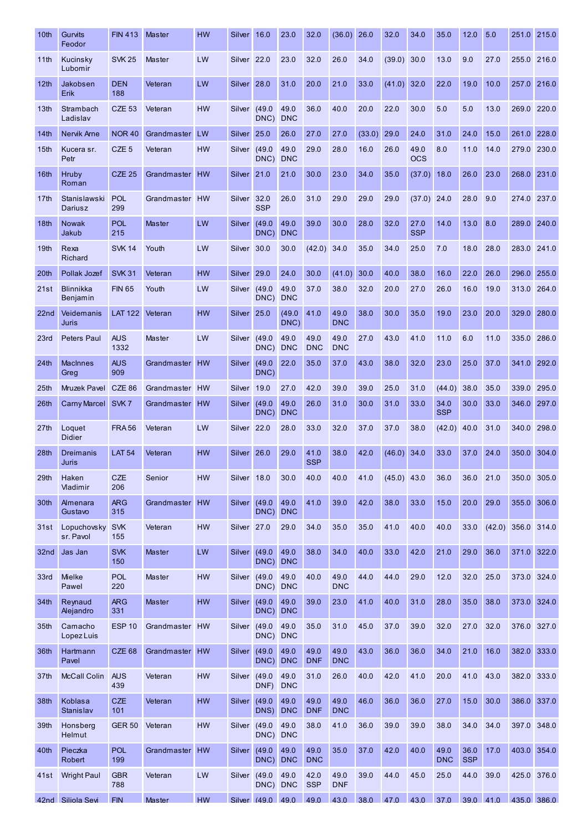| 10th             | Gurvits<br>Feodor           | <b>FIN 413</b>     | Master         | <b>HW</b> | Silver                 | 16.0               | 23.0               | 32.0               | (36.0)             | 26.0   | 32.0          | 34.0               | 35.0               | 12.0               | 5.0  | 251.0                | 215.0       |
|------------------|-----------------------------|--------------------|----------------|-----------|------------------------|--------------------|--------------------|--------------------|--------------------|--------|---------------|--------------------|--------------------|--------------------|------|----------------------|-------------|
| 11 <sub>th</sub> | Kucinsky<br>Lubomir         | <b>SVK 25</b>      | Master         | LW        | Silver <sub>22.0</sub> |                    | 23.0               | 32.0               | 26.0               | 34.0   | (39.0)        | 30.0               | 13.0               | 9.0                | 27.0 | 255.0                | 216.0       |
| 12 <sub>th</sub> | Jakobsen<br>Erik            | <b>DEN</b><br>188  | Veteran        | LW        | Silver                 | 28.0               | 31.0               | 20.0               | 21.0               | 33.0   | (41.0)        | 32.0               | 22.0               | 19.0               | 10.0 | 257.0                | 216.0       |
| 13 <sub>th</sub> | Strambach<br>Ladislav       | <b>CZE 53</b>      | Veteran        | <b>HW</b> | Silver                 | (49.0)<br>DNC)     | 49.0<br><b>DNC</b> | 36.0               | 40.0               | 20.0   | 22.0          | 30.0               | 5.0                | 5.0                | 13.0 | 269.0                | 220.0       |
| 14 <sub>th</sub> | Nervik Arne                 | <b>NOR 40</b>      | Grandmaster    | LW        | Silver                 | 25.0               | 26.0               | 27.0               | 27.0               | (33.0) | 29.0          | 24.0               | 31.0               | 24.0               | 15.0 | 261.0                | 228.0       |
| 15 <sub>th</sub> | Kucera sr.<br>Petr          | CZE <sub>5</sub>   | Veteran        | <b>HW</b> | Silver                 | (49.0)<br>DNC)     | 49.0<br><b>DNC</b> | 29.0               | 28.0               | 16.0   | 26.0          | 49.0<br><b>OCS</b> | 8.0                | 11.0               | 14.0 | 279.0                | 230.0       |
| 16 <sup>th</sup> | Hruby<br>Roman              | <b>CZE 25</b>      | Grandmaster    | <b>HW</b> | <b>Silver</b>          | 21.0               | 21.0               | 30.0               | 23.0               | 34.0   | 35.0          | (37.0)             | 18.0               | 26.0               | 23.0 | 268.0                | 231.0       |
| 17 <sub>th</sub> | Stanislawski<br>Dariusz     | <b>POL</b><br>299  | Grandmaster    | <b>HW</b> | Silver                 | 32.0<br><b>SSP</b> | 26.0               | 31.0               | 29.0               | 29.0   | 29.0          | (37.0)             | 24.0               | 28.0               | 9.0  | 274.0                | 237.0       |
| 18 <sub>th</sub> | <b>Nowak</b><br>Jakub       | <b>POL</b><br>215  | <b>Master</b>  | LW        | Silver                 | (49.0)<br>DNC)     | 49.0<br><b>DNC</b> | 39.0               | 30.0               | 28.0   | 32.0          | 27.0<br><b>SSP</b> | 14.0               | 13.0               | 8.0  | 289.0                | 240.0       |
| 19 <sub>th</sub> | Rexa<br>Richard             | <b>SVK 14</b>      | Youth          | LW        | Silver                 | 30.0               | 30.0               | (42.0)             | 34.0               | 35.0   | 34.0          | 25.0               | 7.0                | 18.0               | 28.0 | 283.0                | 241.0       |
| 20th             | Pollak Jozef                | <b>SVK 31</b>      | Veteran        | <b>HW</b> | <b>Silver</b>          | 29.0               | 24.0               | 30.0               | (41.0)             | 30.0   | 40.0          | 38.0               | 16.0               | 22.0               | 26.0 | 296.0                | 255.0       |
| 21st             | Blinnikka<br>Benjamin       | <b>FIN 65</b>      | Youth          | LW        | Silver                 | (49.0)<br>DNC)     | 49.0<br><b>DNC</b> | 37.0               | 38.0               | 32.0   | 20.0          | 27.0               | 26.0               | 16.0               | 19.0 | 313.0                | 264.0       |
| 22 <sub>nd</sub> | Veidemanis<br>Juris         | <b>LAT 122</b>     | Veteran        | <b>HW</b> | Silver                 | 25.0               | (49.0)<br>DNC)     | 41.0               | 49.0<br><b>DNC</b> | 38.0   | 30.0          | 35.0               | 19.0               | 23.0               | 20.0 | 329.0                | 280.0       |
| 23rd             | <b>Peters Paul</b>          | <b>AUS</b><br>1332 | Master         | LW        | Silver                 | (49.0)<br>DNC) DNC | 49.0               | 49.0<br><b>DNC</b> | 49.0<br><b>DNC</b> | 27.0   | 43.0          | 41.0               | 11.0               | 6.0                | 11.0 | 335.0                | 286.0       |
| 24 <sub>th</sub> | <b>MacInnes</b><br>Greg     | <b>AUS</b><br>909  | Grandmaster    | <b>HW</b> | Silver                 | (49.0)<br>DNC)     | 22.0               | 35.0               | 37.0               | 43.0   | 38.0          | 32.0               | 23.0               | 25.0               | 37.0 | 341.0                | 292.0       |
| 25 <sub>th</sub> | Mruzek Pavel                | CZE 86             | Grandmaster    | <b>HW</b> | Silver                 | 19.0               | 27.0               | 42.0               | 39.0               | 39.0   | 25.0          | 31.0               | (44.0)             | 38.0               | 35.0 | 339.0                | 295.0       |
| 26th             | Carny Marcel SVK 7          |                    | Grandmaster    | <b>HW</b> | Silver                 | (49.0)<br>DNC)     | 49.0<br><b>DNC</b> | 26.0               | 31.0               | 30.0   | 31.0          | 33.0               | 34.0<br><b>SSP</b> | 30.0               | 33.0 | 346.0                | 297.0       |
| 27 <sub>th</sub> | Loquet<br><b>Didier</b>     | <b>FRA56</b>       | Veteran        | LW        | Silver <sub>22.0</sub> |                    | 28.0               | 33.0               | 32.0               | 37.0   | 37.0          | 38.0               | (42.0)             | 40.0               | 31.0 |                      | 340.0 298.0 |
| 28th             | Dreimanis<br>Juris          | <b>LAT 54</b>      | Veteran        | <b>HW</b> | Silver                 | 26.0               | 29.0               | 41.0<br><b>SSP</b> | 38.0               | 42.0   | (46.0)        | 34.0               | 33.0               | 37.0               | 24.0 | 350.0                | 304.0       |
| 29th             | Haken<br><b>Vladimir</b>    | <b>CZE</b><br>206  | Senior         | <b>HW</b> | Silver 18.0            |                    | 30.0               | 40.0               | 40.0               | 41.0   | $(45.0)$ 43.0 |                    | 36.0               | 36.0               | 21.0 | 350.0                | 305.0       |
| 30th             | Almenara<br>Gustavo         | <b>ARG</b><br>315  | Grandmaster    | HW        | Silver (49.0           | DNC)               | 49.0<br><b>DNC</b> | 41.0               | 39.0               | 42.0   | 38.0          | 33.0               | 15.0               | 20.0               | 29.0 | 355.0                | 306.0       |
| 31st             | Lopuchovsky<br>sr. Pavol    | <b>SVK</b><br>155  | Veteran        | <b>HW</b> | Silver <sub>27.0</sub> |                    | 29.0               | 34.0               | 35.0               | 35.0   | 41.0          | 40.0               | 40.0               | 33.0               |      | $(42.0)$ 356.0 314.0 |             |
| 32nd             | Jas Jan                     | <b>SVK</b><br>150  | Master         | LW        | Silver                 | (49.0)<br>DNC)     | 49.0<br><b>DNC</b> | 38.0               | 34.0               | 40.0   | 33.0          | 42.0               | 21.0               | 29.0               | 36.0 | 371.0                | 322.0       |
| 33rd             | Mielke<br>Pawel             | <b>POL</b><br>220  | Master         | <b>HW</b> | Silver                 | (49.0)<br>DNC)     | 49.0<br><b>DNC</b> | 40.0               | 49.0<br><b>DNC</b> | 44.0   | 44.0          | 29.0               | 12.0               | 32.0               | 25.0 |                      | 373.0 324.0 |
| 34 <sub>th</sub> | Reynaud<br>Alejandro        | <b>ARG</b><br>331  | Master         | <b>HW</b> | Silver                 | (49.0)<br>DNC)     | 49.0<br><b>DNC</b> | 39.0               | 23.0               | 41.0   | 40.0          | 31.0               | 28.0               | 35.0               | 38.0 |                      | 373.0 324.0 |
| 35 <sub>th</sub> | Camacho<br>Lopez Luis       | <b>ESP 10</b>      | Grandmaster HW |           | Silver (49.0           | DNC) DNC           | 49.0               | 35.0               | 31.0               | 45.0   | 37.0          | 39.0               | 32.0               | 27.0               | 32.0 |                      | 376.0 327.0 |
| 36 <sub>th</sub> | Hartmann<br>Pavel           | CZE <sub>68</sub>  | Grandmaster    | <b>HW</b> | Silver                 | (49.0)<br>DNC) DNC | 49.0               | 49.0<br><b>DNF</b> | 49.0<br><b>DNC</b> | 43.0   | 36.0          | 36.0               | 34.0               | 21.0               | 16.0 |                      | 382.0 333.0 |
| 37 <sub>th</sub> | <b>McCall Colin</b>         | <b>AUS</b><br>439  | Veteran        | <b>HW</b> | Silver                 | (49.0)<br>DNF)     | 49.0<br><b>DNC</b> | 31.0               | 26.0               | 40.0   | 42.0          | 41.0               | 20.0               | 41.0               | 43.0 | 382.0                | 333.0       |
| 38th             | <b>Koblasa</b><br>Stanislav | <b>CZE</b><br>101  | Veteran        | <b>HW</b> | Silver                 | (49.0)<br>DNS)     | 49.0<br><b>DNC</b> | 49.0<br><b>DNF</b> | 49.0<br><b>DNC</b> | 46.0   | 36.0          | 36.0               | 27.0               | 15.0               | 30.0 | 386.0                | 337.0       |
| 39th             | Honsberg<br>Helmut          | <b>GER 50</b>      | Veteran        | <b>HW</b> | Silver                 | (49.0)<br>DNC) DNC | 49.0               | 38.0               | 41.0               | 36.0   | 39.0          | 39.0               | 38.0               | 34.0               | 34.0 | 397.0                | 348.0       |
| 40th             | Pieczka<br>Robert           | <b>POL</b><br>199  | Grandmaster    | <b>HW</b> | Silver                 | (49.0)<br>DNC) DNC | 49.0               | 49.0<br><b>DNC</b> | 35.0               | 37.0   | 42.0          | 40.0               | 49.0<br><b>DNC</b> | 36.0<br><b>SSP</b> | 17.0 |                      | 403.0 354.0 |
| 41st             | <b>Wright Paul</b>          | <b>GBR</b><br>788  | Veteran        | LW        | Silver (49.0           | DNC) DNC           | 49.0               | 42.0<br><b>SSP</b> | 49.0<br><b>DNF</b> | 39.0   | 44.0          | 45.0               | 25.0               | 44.0               | 39.0 |                      | 425.0 376.0 |
|                  | 42nd Siliola Sevi           | <b>FIN</b>         | Master         | <b>HW</b> |                        | Silver (49.0 49.0  |                    | 49.0               | 43.0               | 38.0   | 47.0          | 43.0               | 37.0               | 39.0 41.0          |      |                      | 435.0 386.0 |